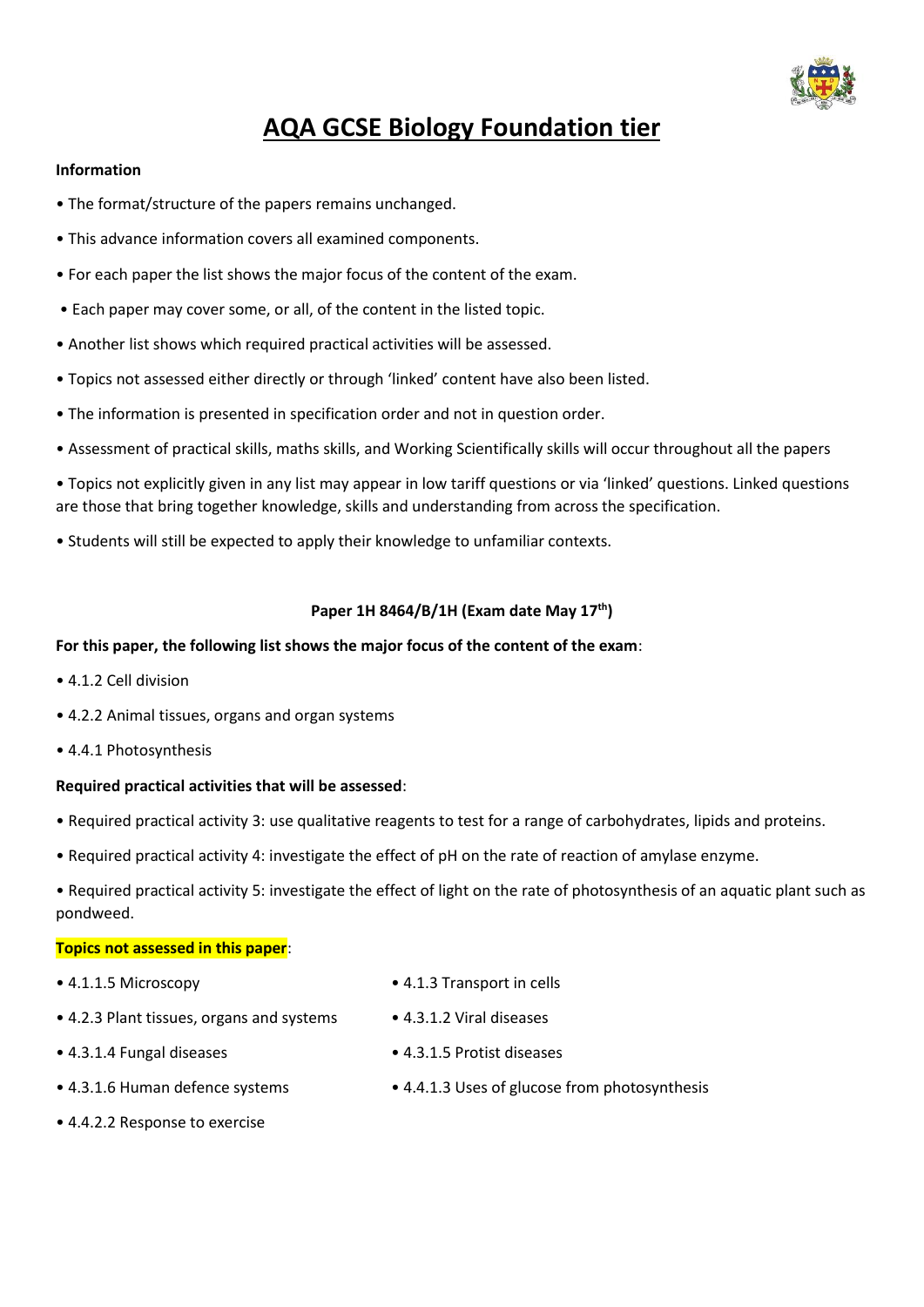

# **AQA GCSE Biology Foundation tier**

#### **Information**

- The format/structure of the papers remains unchanged.
- This advance information covers all examined components.
- For each paper the list shows the major focus of the content of the exam.
- Each paper may cover some, or all, of the content in the listed topic.
- Another list shows which required practical activities will be assessed.
- Topics not assessed either directly or through 'linked' content have also been listed.
- The information is presented in specification order and not in question order.
- Assessment of practical skills, maths skills, and Working Scientifically skills will occur throughout all the papers

• Topics not explicitly given in any list may appear in low tariff questions or via 'linked' questions. Linked questions are those that bring together knowledge, skills and understanding from across the specification.

• Students will still be expected to apply their knowledge to unfamiliar contexts.

# **Paper 1H 8464/B/1H (Exam date May 17th)**

### **For this paper, the following list shows the major focus of the content of the exam**:

- 4.1.2 Cell division
- 4.2.2 Animal tissues, organs and organ systems
- 4.4.1 Photosynthesis

#### **Required practical activities that will be assessed**:

- Required practical activity 3: use qualitative reagents to test for a range of carbohydrates, lipids and proteins.
- Required practical activity 4: investigate the effect of pH on the rate of reaction of amylase enzyme.

• Required practical activity 5: investigate the effect of light on the rate of photosynthesis of an aquatic plant such as pondweed.

#### **Topics not assessed in this paper**:

- 
- 4.1.1.5 Microscopy 4.1.3 Transport in cells
- 4.2.3 Plant tissues, organs and systems 4.3.1.2 Viral diseases
- 4.3.1.4 Fungal diseases 4.3.1.5 Protist diseases
	-
- 4.3.1.6 Human defence systems 4.4.1.3 Uses of glucose from photosynthesis
- 4.4.2.2 Response to exercise